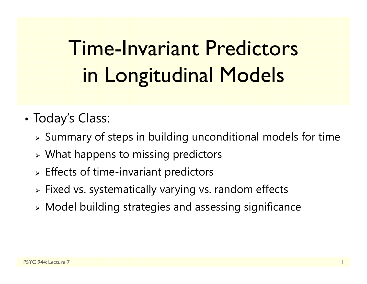# Time-Invariant Predictors in Longitudinal Models

- • Today's Class:
	- $\triangleright$  Summary of steps in building unconditional models for time
	- $\triangleright$  What happens to missing predictors
	- $\triangleright$  Effects of time-invariant predictors
	- Fixed vs. systematically varying vs. random effects
	- Model building strategies and assessing significance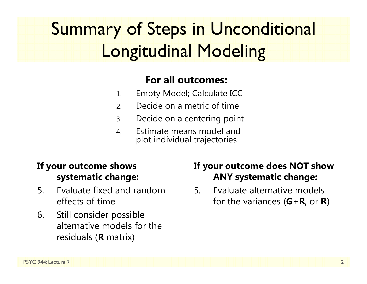## Summary of Steps in Unconditional Longitudinal Modeling

#### **For all outcomes:**

- 1.Empty Model; Calculate ICC
- 2.Decide on a metric of time
- 3.Decide on a centering point
- 4. Estimate means model andplot individual trajectories

#### **If your outcome shows systematic change:**

- 5. Evaluate fixed and random effects of time
- 6. Still consider possible alternative models for the residuals ( **R** matrix)

#### **If your outcome does NOT show ANY systematic change:**

5. Evaluate alternative models for the variances ( **G** + **R**, or **R**)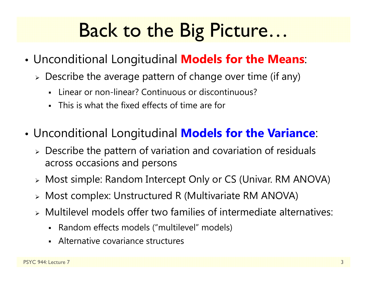# Back to the Big Picture…

- • Unconditional Longitudinal **Models for the Means**:
	- $\triangleright$  Describe the average pattern of change over time (if any)
		- Linear or non-linear? Continuous or discontinuous?
		- Г This is what the fixed effects of time are for
- • Unconditional Longitudinal **Models for the Variance**:
	- Describe the pattern of variation and covariation of residuals across occasions and persons
	- Most simple: Random Intercept Only or CS (Univar. RM ANOVA)
	- Most complex: Unstructured R (Multivariate RM ANOVA)
	- Multilevel models offer two families of intermediate alternatives:
		- $\blacksquare$ Random effects models ("multilevel" models)
		- Alternative covariance structures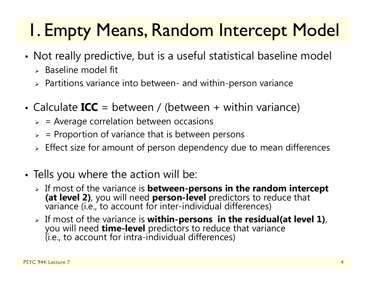## 1. Empty Means, Random Intercept Model

- • Not really predictive, but is a useful statistical baseline model
	- $\triangleright$  Baseline model fit
	- $\triangleright$  Partitions variance into between- and within-person variance
- Calculate **ICC** = between / (between + within variance)
	- $\triangleright$  = Average correlation between occasions
	- $\blacktriangleright$ = Proportion of variance that is between persons
	- $\triangleright$  Effect size for amount of person dependency due to mean differences
- Tells you where the action will be:
	- $\triangleright$  If most of the variance is **between-persons in the random intercept (at level 2)**, you will need **person-level** predictors to reduce that variance (i.e., to account for inter-individual differences)
	- $\triangleright$  If most of the variance is within-persons in the residual(at level 1), you will need **time-level** predictors to reduce that variance<br>(i.e., to account for intra-individual differences)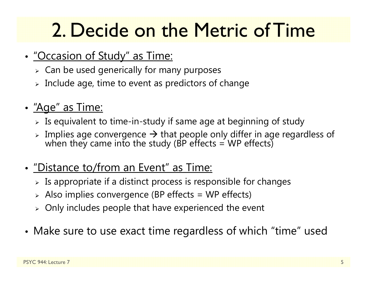# 2. Decide on the Metric of Time

- • "Occasion of Study" as Time:
	- $\triangleright\;$  Can be used generically for many purposes
	- $\triangleright$  Include age, time to event as predictors of change
- "Age" as Time:
	- $\triangleright$  Is equivalent to time-in-study if same age at beginning of study
	- $\triangleright$  Implies age convergence  $\rightarrow$  that people only differ in age regardless of when they came into the study (BP effects = WP effects)
- "Distance to/from an Event" as Time:
	- $\triangleright$  Is appropriate if a distinct process is responsible for changes
	- $\triangleright$  Also implies convergence (BP effects = WP effects)
	- $\triangleright$  Only includes people that have experienced the event
- •Make sure to use exact time regardless of which "time" used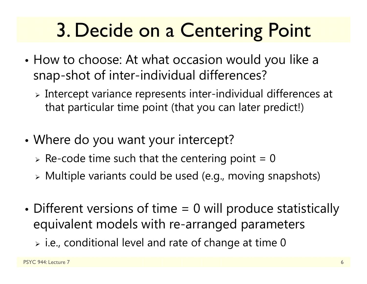# 3. Decide on a Centering Point

- • How to choose: At what occasion would you like a snap-shot of inter-individual differences?
	- $\triangleright$  Intercept variance represents inter-individual differences at that particular time point (that you can later predict!)
- • Where do you want your intercept?
	- $\triangleright$  Re-code time such that the centering point = 0
	- Multiple variants could be used (e.g., moving snapshots)
- • Different versions of time = 0 will produce statistically equivalent models with re-arranged parameters
	- $\triangleright$  i.e., conditional level and rate of change at time 0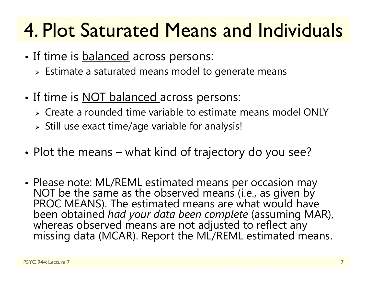# 4. Plot Saturated Means and Individuals

- •• If time is <u>balanced</u> across persons:
	- $\triangleright$  Estimate a saturated means model to generate means
- •• If time is <u>NOT balanced a</u>cross persons:
	- Create a rounded time variable to estimate means model ONLY
	- $\triangleright$  Still use exact time/age variable for analysis!
- • $\bullet$  Plot the means – what kind of trajectory do you see?
- Please note: ML/REML estimated means per occasion may NOT be the same as the observed means (i.e., as given by PROC MEANS). The estimated means are what would have been obtained had your data been complete (assuming MAR), whereas observed means are not adjusted to reflect any missing data (MCAR). Report the ML/REML estimated means.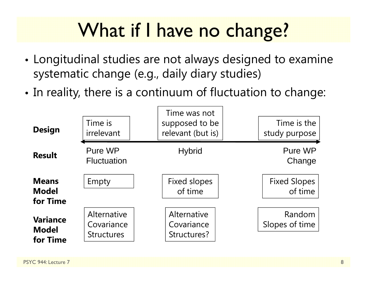# What if I have no change?

- • Longitudinal studies are not always designed to examine systematic change (e.g., daily diary studies)
- • $\bullet$  In reality, there is a continuum of fluctuation to change:

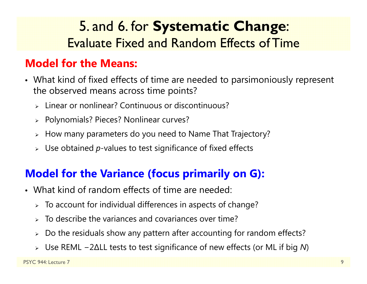### 5. and 6. for **Systematic Change**: Evaluate Fixed and Random Effects of Time

#### **Model for the Means:**

- What kind of fixed effects of time are needed to parsimoniously represent the observed means across time points?
	- Linear or nonlinear? Continuous or discontinuous?
	- Polynomials? Pieces? Nonlinear curves?
	- $\triangleright\;$  How many parameters do you need to Name That Trajectory?
	- Use obtained *p*-values to test significance of fixed effects

#### **Model for the Variance (focus primarily on G):**

- What kind of random effects of time are needed:
	- $\triangleright$  To account for individual differences in aspects of change?
	- $\triangleright$  To describe the variances and covariances over time?
	- $\blacktriangleright$ Do the residuals show any pattern after accounting for random effects?
	- Use REML −2∆LL tests to test significance of new effects (or ML if big *N*)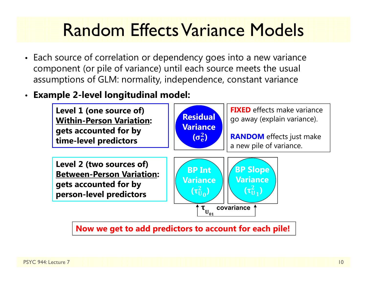### Random Effects Variance Models

- Each source of correlation or dependency goes into a new variance component (or pile of variance) until each source meets the usual assumptions of GLM: normality, independence, constant variance
- •**Example 2-level longitudinal model:**



**Now we get to add predictors to account for each pile!**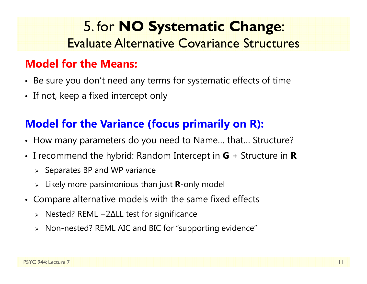### 5. for **NO Systematic Change**: Evaluate Alternative Covariance Structures

#### **Model for the Means:**

- Be sure you don't need any terms for systematic effects of time
- If not, keep a fixed intercept only

#### **Model for the Variance (focus primarily on R):**

- How many parameters do you need to Name… that… Structure?
- I recommend the hybrid: Random Intercept in **G** + Structure in **R**
	- $\triangleright$  Separates BP and WP variance
	- Likely more parsimonious than just **R**-only model
- Compare alternative models with the same fixed effects
	- Nested? REML −2∆LL test for significance
	- Non-nested? REML AIC and BIC for "supporting evidence"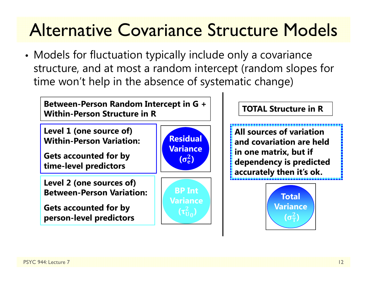### Alternative Covariance Structure Models

• Models for fluctuation typically include only a covariance structure, and at most a random intercept (random slopes for time won't help in the absence of systematic change)

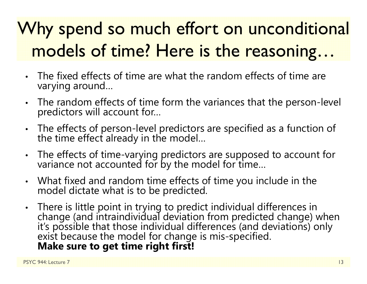# Why spend so much effort on unconditional models of time? Here is the reasoning…

- • The fixed effects of time are what the random effects of time are varying around…
- $\bullet$ The random effects of time form the variances that the person-level predictors will account for...
- $\bullet$ The effects of person-level predictors are specified as a function of the time effect already in the model...
- $\bullet$ The effects of time-varying predictors are supposed to account for variance not accounted for by the model for time...
- $\bullet$ What fixed and random time effects of time you include in the model dictate what is to be predicted.
- •• There is little point in trying to predict individual differences in change (and intraindividual deviation from predicted change) when it's possible that those individual differences (and deviations) only exist because t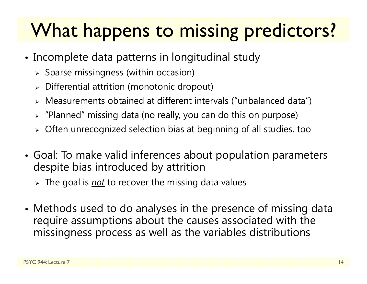# What happens to missing predictors?

- Incomplete data patterns in longitudinal study
	- $\triangleright$  Sparse missingness (within occasion)
	- $\triangleright$  Differential attrition (monotonic dropout)
	- Measurements obtained at different intervals ("unbalanced data")
	- $\triangleright$  "Planned" missing data (no really, you can do this on purpose)
	- $\triangleright$  Often unrecognized selection bias at beginning of all studies, too
- • Goal: To make valid inferences about population parameters despite bias introduced by attrition
	- The goal is *not* to recover the missing data values
- • Methods used to do analyses in the presence of missing data require assumptions about the causes associated with the missingness process as well as the variables distributions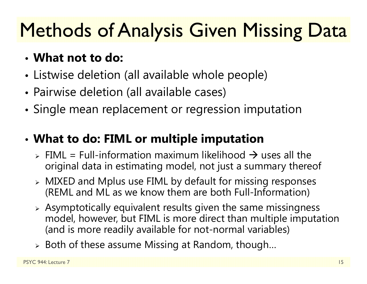# **Methods of Analysis Given Missing Data**

- **What not to do:**
- •Listwise deletion (all available whole people)
- •Pairwise deletion (all available cases)
- •Single mean replacement or regression imputation
- • **What to do: FIML or multiple imputation**
	- $\triangleright$  FIML = Full-information maximum likelihood  $\rightarrow$  uses all the original data in estimating model, not just a summary thereof
	- MIXED and Mplus use FIML by default for missing responses (REML and ML as we know them are both Full-Information)
	- $\triangleright$  Asymptotically equivalent results given the same missingness model, however, but FIML is more direct than multiple imputation (and is more readily available for not-normal variables)
	- $\triangleright$  Both of these assume Missing at Random, though...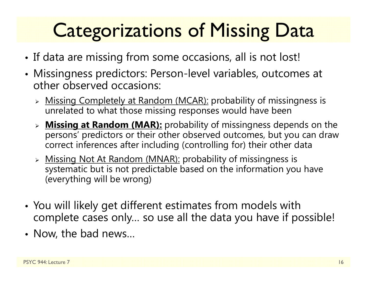# **Categorizations of Missing Data**

- •• If data are missing from some occasions, all is not lost!
- Missingness predictors: Person-level variables, outcomes at other observed occasions:
	- > Missing Completely at Random (MCAR): probability of missingness is unrelated to what those missing responses would have been
	- **Missing at Random (MAR):** probability of missingness depends on the persons' predictors or their other observed outcomes, but you can draw correct inferences after including (controlling for) their other data
	- > Missing Not At Random (MNAR): probability of missingness is systematic but is not predictable based on the information you have (everything will be wrong)
- • You will likely get different estimates from models with complete cases only… so use all the data you have if possible!
- Now, the bad news…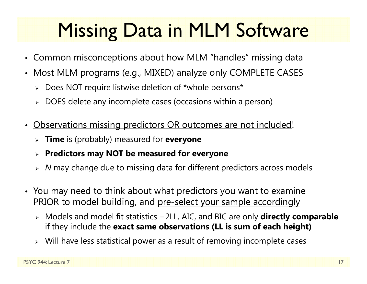# Missing Data in MLM Software

- Common misconceptions about how MLM "handles" missing data
- $\bullet$  Most MLM programs (e.g., MIXED) analyze only COMPLETE CASES
	- Does NOT require listwise deletion of \*whole persons\*
	- $\triangleright$  DOES delete any incomplete cases (occasions within a person)
- • Observations missing predictors OR outcomes are not included!
	- **Time** is (probably) measured for **everyone**
	- **Predictors may NOT be measured for everyone**
	- *N* may change due to missing data for different predictors across models
- You may need to think about what predictors you want to examine PRIOR to model building, and pre-select your sample accordingly
	- Models and model fit statistics <sup>−</sup>2LL, AIC, and BIC are only **directly comparable** if they include the **exact same observations (LL is sum of each height)**
	- Will have less statistical power as a result of removing incomplete cases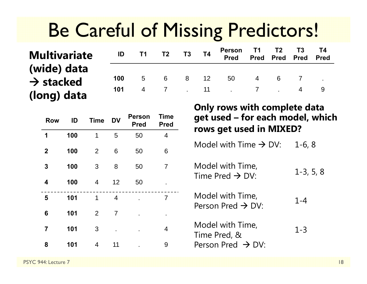## Be Careful of Missing Predictors!

#### **Multivariate (wide) data**   $\rightarrow$  stacked **(long) data**

| <b>ID</b> T1 T2 T3 T4 |  | Person T1 T2 T3 T4<br>Pred Pred Pred Pred Pred |  |  |
|-----------------------|--|------------------------------------------------|--|--|
|                       |  | <b>100</b> 5 6 8 12 50 4 6 7 .                 |  |  |
|                       |  | 101 4 7 . 11 . 7 . 4 9                         |  |  |

| <b>Row</b>              | ID  | <b>Time</b>    | <b>DV</b> | <b>Person</b><br><b>Pred</b> | Time<br><b>Pred</b> |
|-------------------------|-----|----------------|-----------|------------------------------|---------------------|
| 1                       | 100 | 1              | 5         | 50                           | 4                   |
| $\boldsymbol{2}$        | 100 | $\overline{2}$ | 6         | 50                           | 6                   |
| 3                       | 100 | 3              | 8         | 50                           | 7                   |
| 4                       | 100 | 4              | 12        | 50                           |                     |
| 5                       | 101 | 1              | 4         |                              | 7                   |
| 6                       | 101 | $\overline{2}$ | 7         |                              |                     |
| $\overline{\mathbf{7}}$ | 101 | 3              |           |                              | 4                   |
| 8                       | 101 | 4              | 11        |                              | 9                   |

**Only rows with complete data get used – for each model, which rows get used in MIXED?**

Model with Time  $\rightarrow$  DV:  $\quad$  1-6, 8  $\,$ 

Model with Time,  $1$ -3, 5, 8 Model with Time,  $1$ -3, 5, 8

1-4Model with Time, Person Pred  $\rightarrow$  DV:

1-3Model with Time,<br>Time Pred, & Person Pred  $\;\rightarrow$  DV:

PSYC 944: Lecture 7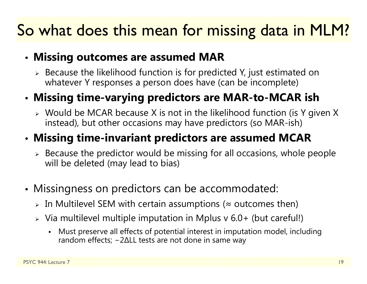### So what does this mean for missing data in MLM?

#### • **Missing outcomes are assumed MAR**

 $\triangleright$  Because the likelihood function is for predicted Y, just estimated on whatever Y responses a person does have (can be incomplete)

#### • **Missing time-varying predictors are MAR-to-MCAR ish**

 $\triangleright$  Would be MCAR because X is not in the likelihood function (is Y given X instead), but other occasions may have predictors (so MAR-ish)

#### • **Missing time-invariant predictors are assumed MCAR**

- $\triangleright$  Because the predictor would be missing for all occasions, whole people will be deleted (may lead to bias)
- Missingness on predictors can be accommodated:
	- $\triangleright$  In Multilevel SEM with certain assumptions ( $\approx$  outcomes then)
	- $\triangleright$  Via multilevel multiple imputation in Mplus v 6.0+ (but careful!)
		- n Must preserve all effects of potential interest in imputation model, including random effects; − 2 ∆LL tests are not done in same way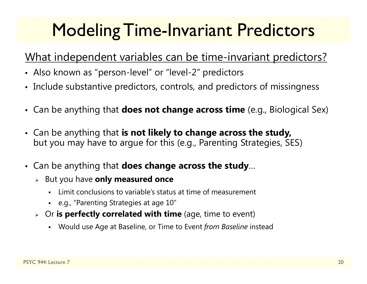## **Modeling Time-Invariant Predictors**

#### What independent variables can be time-invariant predictors?

- Also known as "person-level" or "level-2" predictors
- Include substantive predictors, controls, and predictors of missingness
- Can be anything that **does not change across time** (e.g., Biological Sex)
- Can be anything that **is not likely to change across the study,**  but you may have to argue for this (e.g., Parenting Strategies, SES)
- Can be anything that **does change across the study**…
	- But you have **only measured once**
		- n Limit conclusions to variable's status at time of measurement
		- e.g., "Parenting Strategies at age 10"
	- Or **is perfectly correlated with time** (age, time to event)
		- Would use Age at Baseline, or Time to Event *from Baseline* instead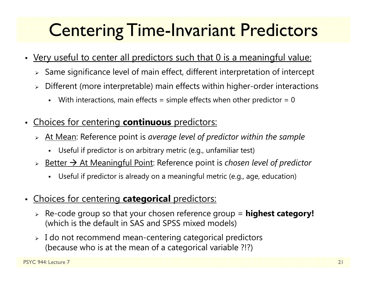### Centering Time-Invariant Predictors

- Very useful to center all predictors such that 0 is a meaningful value:
	- $\triangleright$  Same significance level of main effect, different interpretation of intercept
	- $\blacktriangleright$  Different (more interpretable) main effects within higher-order interactions
		- n With interactions, main effects = simple effects when other predictor =  $0$
- • Choices for centering **continuous** predictors:
	- At Mean: Reference point is *average level of predictor within the sample*
		- Useful if predictor is on arbitrary metric (e.g., unfamiliar test)
	- > <u>Better → At Meaningful Point</u>: Reference point is *chosen level of predictor* 
		- n Useful if predictor is already on a meaningful metric (e.g., age, education)
- • Choices for centering **categorical** predictors:
	- Re-code group so that your chosen reference group = **highest category!** (which is the default in SAS and SPSS mixed models)
	- $\blacktriangleright$  I do not recommend mean-centering categorical predictors (because who is at the mean of a categorical variable ?!?)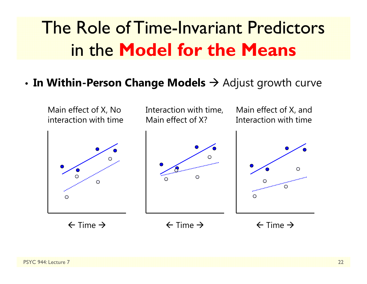### The Role of Time-Invariant Predictors in the **Model for the Means**

#### • **In Within-Person Change Models**  Adjust growth curve

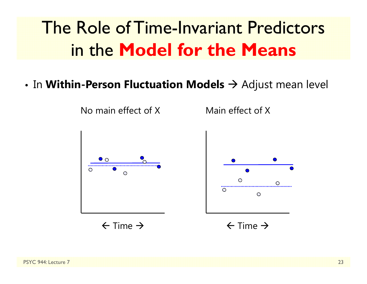## The Role of Time-Invariant Predictors in the **Model for the Means**

 $\bullet$  In **Within-Person Fluctuation Models**  $\rightarrow$  Adjust mean level

No main effect of X



 $\leftarrow$  Time  $\rightarrow$ 

Main effect of X



 $\leftarrow$  Time  $\rightarrow$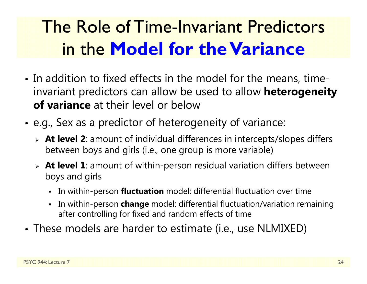## The Role of Time-Invariant Predictors in the **Model for the Variance**

- In addition to fixed effects in the model for the means, timeinvariant predictors can allow be used to allow **heterogeneity of variance** at their level or below
- • e.g., Sex as a predictor of heterogeneity of variance:
	- **At level 2**: amount of individual differences in intercepts/slopes differs between boys and girls (i.e., one group is more variable)
	- **At level 1**: amount of within-person residual variation differs between boys and girls
		- In within-person **fluctuation** model: differential fluctuation over time
		- In within-person **change** model: differential fluctuation/variation remaining after controlling for fixed and random effects of time
- These models are harder to estimate (i.e., use NLMIXED)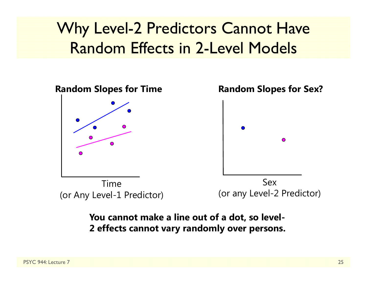### Why Level-2 Predictors Cannot Have Random Effects in 2-Level Models



#### **You cannot make a line out of a dot, so level-2 effects cannot vary randomly over persons.**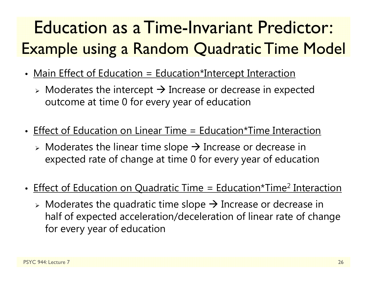## Education as a Time-Invariant Predictor: Example using a Random Quadratic Time Model

- Main Effect of Education = Education\*Intercept Interaction
	- $\triangleright$  Moderates the intercept  $\rightarrow$  Increase or decrease in expected outcome at time 0 for every year of education
- Effect of Education on Linear Time = Education\*Time Interaction
	- $\triangleright$  Moderates the linear time slope  $\rightarrow$  Increase or decrease in expected rate of change at time 0 for every year of education
- Effect of Education on Quadratic Time = Education\*Time<sup>2</sup> Interaction
	- $\triangleright$  Moderates the quadratic time slope  $\rightarrow$  Increase or decrease in half of expected acceleration/deceleration of linear rate of change for every year of education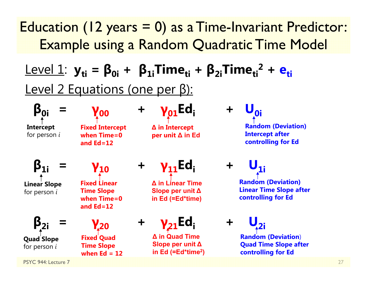### Education (12 years = 0) as a Time-Invariant Predictor: Example using a Random Quadratic Time Model

### ${\sf Level\ 1:}\ \bf{y_{ti}} = {\sf \boldsymbol{\beta}_{0i}} + {\sf \boldsymbol{\beta}_{1i}}$ Time $_{\sf ti}$  +  ${\sf \boldsymbol{\beta}_{2i}}$ Time $_{\sf ti}^2$  +  ${\sf \boldsymbol{e}_{ti}}$ Level 2 Equations (one per β):

**Intercept** for person *i*

**β0i <sup>=</sup>**

**γ00Fixed Intercept when Time=0 and Ed=12**

**<sup>+</sup> γ01Edi +** 

**∆ in Intercept per unit ∆ in Ed**

**<sub>0i</sub> Random (Deviation) Intercept after controlling for Ed**

**β1i <sup>=</sup> Linear Slope** for person *i*

**β2i**

**Quad Slope** for person *i*

**<sup>=</sup>**

**γ10**

**Fixed Linear Time Slope when Time=0 and Ed=12**

**γ20 <sup>+</sup> Fixed Quad Time Slope when Ed = 12**

**<sup>+</sup> γ11Edi +** 

**∆ in Linear Time Slope per unit ∆in Ed (=Ed\*time)**

**γ**<sub>21</sub>Ed:

**∆ in Quad Time Slope per unit ∆ in Ed (=Ed\*time 2)**  $$ 

**Random (Deviation) Linear Time Slope after controlling for Ed**

 $U_{2i}$ **Random (Deviation**) **Quad Time Slope after** 

**controlling for Ed**

PSYC 944: Lecture 7

27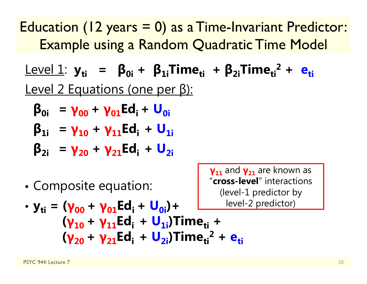Education (12 years = 0) as a Time-Invariant Predictor: Example using a Random Quadratic Time Model

Level 1: **yti <sup>=</sup> β0i <sup>+</sup> β1iTimeti <sup>+</sup> β2iTimeti2 + eti**Level 2 Equations (one per β):

$$
\beta_{0i} = \gamma_{00} + \gamma_{01} Ed_i + U_{0i}
$$

$$
\beta_{1i} = \gamma_{10} + \gamma_{11} Ed_i + U_{1i}
$$

$$
\beta_{2i} = \gamma_{20} + \gamma_{21} Ed_i + U_{2i}
$$

•Composite equation:

**γ11** and **γ21** are known as "**cross-level**" interactions (level-1 predictor by -2 predictor)

• 
$$
y_{ti} = (\gamma_{00} + \gamma_{01} Ed_i + U_{0i}) +
$$
  
\n $(\gamma_{10} + \gamma_{11} Ed_i + U_{1i})$ Time<sub>ti</sub> +  
\n $(\gamma_{20} + \gamma_{21} Ed_i + U_{2i})$ Time<sub>ti</sub><sup>2</sup> + e<sub>ti</sub>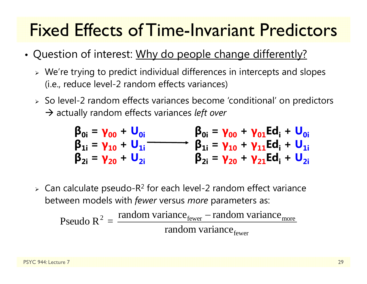### Fixed Effects of Time-Invariant Predictors

- •• Question of interest: Why do people change differently?
	- $\triangleright$  We're trying to predict individual differences in intercepts and slopes (i.e., reduce level-2 random effects variances)
	- So level-2 random effects variances become 'conditional' on predictors → actually random effects variances *left over*

$$
\begin{matrix}\n\beta_{0i} = \gamma_{00} + U_{0i} & \beta_{0i} = \gamma_{00} + \gamma_{01} Ed_{i} + U_{0i} \\
\beta_{1i} = \gamma_{10} + U_{1i} & \beta_{1i} = \gamma_{10} + \gamma_{11} Ed_{i} + U_{1i} \\
\beta_{2i} = \gamma_{20} + U_{2i} & \beta_{2i} = \gamma_{20} + \gamma_{21} Ed_{i} + U_{2i}\n\end{matrix}
$$

 $\triangleright$  Can calculate pseudo-R<sup>2</sup> for each level-2 random effect variance between models with *fewer* versus *more* parameters as:

Pseudo R<sup>2</sup> = 
$$
\frac{\text{random variance}_{\text{fewer}} - \text{random variance}_{\text{move}}}{\text{random variance}_{\text{fewer}}}
$$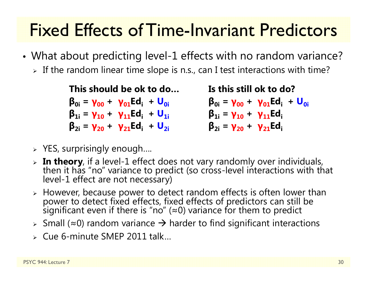### Fixed Effects of Time-Invariant Predictors

- • What about predicting level-1 effects with no random variance?
	- $\triangleright$  If the random linear time slope is n.s., can I test interactions with time?

**This should be ok to do…β0i <sup>=</sup> γ00 <sup>+</sup> γ01Edi <sup>+</sup> U0iβ1i <sup>=</sup> γ10 <sup>+</sup> γ11Edi <sup>+</sup> U1iβ2i <sup>=</sup> γ20 <sup>+</sup> γ21Edi <sup>+</sup> U2i**

**Is this still ok to do?β0i <sup>=</sup> γ00 <sup>+</sup> γ01Edi <sup>+</sup> U0iβ1i <sup>=</sup> γ10 <sup>+</sup> γ11Ediβ2i <sup>=</sup> γ20 <sup>+</sup> γ21Edi**

- $\triangleright$  YES, surprisingly enough....
- $\triangleright$  In theory, if a level-1 effect does not vary randomly over individuals, then it has "no" variance to predict (so cross-level interactions with that level-1 effect are not necessary)
- > However, because power to detect random effects is often lower than However, because power to detect random effects is often lower than power to detect fixed effects, fixed effects of predictors can still be significant even if there is "no" ( <sup>≈</sup>0) variance for them to predict
- $\triangleright$  Small (≈0) random variance  $\rightarrow$  harder to find significant interactions
- Cue 6-minute SMEP 2011 talk…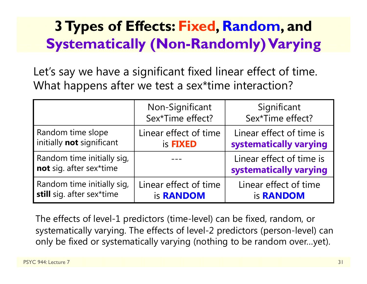### **3 Types of Effects: Fixed, Random, and Systematically (Non-Randomly) Varying**

Let's say we have a significant fixed linear effect of time. What happens after we test a sex\*time interaction?

|                                                       | Non-Significant<br>Sex*Time effect? | Significant<br>Sex*Time effect?                    |
|-------------------------------------------------------|-------------------------------------|----------------------------------------------------|
| Random time slope                                     | Linear effect of time               | Linear effect of time is                           |
| initially not significant                             | is <b>FIXED</b>                     | systematically varying                             |
| Random time initially sig,<br>not sig. after sex*time |                                     | Linear effect of time is<br>systematically varying |
| Random time initially sig,                            | Linear effect of time               | Linear effect of time                              |
| still sig. after sex*time                             | is <b>RANDOM</b>                    | is <b>RANDOM</b>                                   |

The effects of level-1 predictors (time-level) can be fixed, random, or systematically varying. The effects of level-2 predictors (person-level) can only be fixed or systematically varying (nothing to be random over…yet).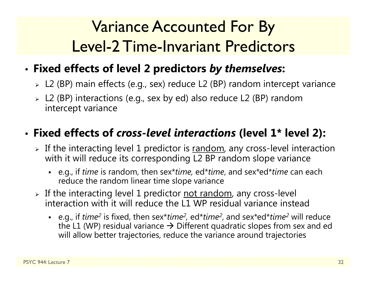### Variance Accounted For By Level-2 Time-Invariant Predictors

#### •**Fixed effects of level 2 predictors** *by themselves***:**

- L2 (BP) main effects (e.g., sex) reduce L2 (BP) random intercept variance
- L2 (BP) interactions (e.g., sex by ed) also reduce L2 (BP) random intercept variance

#### • **Fixed effects of** *cross-level interactions* **(level 1\* level 2):**

- $\triangleright$  If the interacting level 1 predictor is  $\overline{\text{random}}$ , any cross-level interaction with it will reduce its corresponding L2 BP random slope variance
	- e.g., if *time* is random, then sex\**time,* ed\**time*, and sex\*ed\**time* can each reduce the random linear time slope variance
- > If the interacting level 1 predictor <u>not random</u>, any cross-level interaction with it will reduce the L1 WP residual variance instead
	- e.g., if *time<sup>2</sup>* is fixed, then sex\**time<sup>2</sup>,* ed\**time<sup>2</sup>,* and sex\*ed\**time<sup>2</sup> will reduce* the L1 (WP) residual variance  $\bm{\rightarrow}$  Different quadratic slopes from sex and ed will allow better trajectories, reduce the variance around trajectories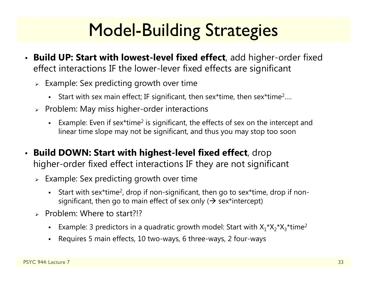## Model-Building Strategies

- **Build UP: Start with lowest-level fixed effect**, add higher-order fixed effect interactions IF the lower-lever fixed effects are significant
	- $\triangleright$  Example: Sex predicting growth over time
		- **Start with sex main effect; IF significant, then sex\*time, then sex\*time<sup>2</sup>....**
	- $\triangleright$  Problem: May miss higher-order interactions
		- **Example: Even if sex\*time<sup>2</sup> is significant, the effects of sex on the intercept and** linear time slope may not be significant, and thus you may stop too soon
- **Build DOWN: Start with highest-level fixed effect**, drop higher-order fixed effect interactions IF they are not significant
	- $\triangleright$  Example: Sex predicting growth over time
		- Start with sex\*time<sup>2</sup>, drop if non-significant, then go to sex\*time, drop if nonsignificant, then go to main effect of sex only ( $\bm{\rightarrow}$  sex\*intercept)
	- > Problem: Where to start?!?
		- Example: 3 predictors in a quadratic growth model: Start with  $X_1^*X_2^*X_3^*$ time<sup>2</sup>
		- n Requires 5 main effects, 10 two-ways, 6 three-ways, 2 four-ways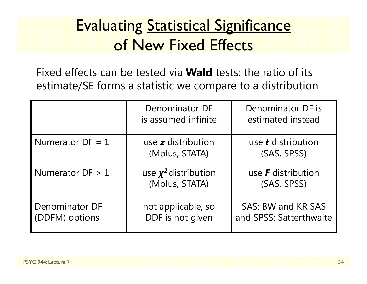### **Evaluating Statistical Significance** of New Fixed Effects

Fixed effects can be tested via **Wald** tests: the ratio of its estimate/SE forms a statistic we compare to a distribution

|                                  | Denominator DF<br>is assumed infinite       | Denominator DF is<br>estimated instead        |
|----------------------------------|---------------------------------------------|-----------------------------------------------|
| Numerator $DF = 1$               | use $z$ distribution<br>(Mplus, STATA)      | use <b>t</b> distribution<br>(SAS, SPSS)      |
| Numerator $DF > 1$               | use $\chi^2$ distribution<br>(Mplus, STATA) | use $\bm{F}$ distribution<br>(SAS, SPSS)      |
| Denominator DF<br>(DDFM) options | not applicable, so<br>DDF is not given      | SAS: BW and KR SAS<br>and SPSS: Satterthwaite |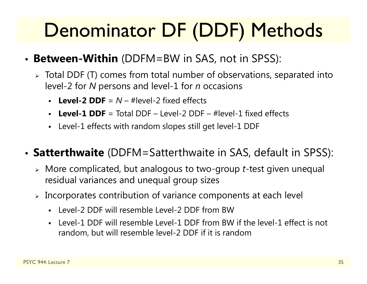# Denominator DF (DDF) Methods

- **Between-Within** (DDFM=BW in SAS, not in SPSS):
	- $\triangleright$  Total DDF (T) comes from total number of observations, separated into level-2 for *N* persons and level-1 for *n* occasions
		- **Level-2 DDF** = *N* – #level-2 fixed effects
		- **Level-1 DDF** = Total DDF – Level-2 DDF – #level-1 fixed effects
		- Level-1 effects with random slopes still get level-1 DDF

#### • **Satterthwaite** (DDFM=Satterthwaite in SAS, default in SPSS):

- More complicated, but analogous to two-group *<sup>t</sup>*-test given unequal residual variances and unequal group sizes
- $\triangleright$  Incorporates contribution of variance components at each level
	- Level-2 DDF will resemble Level-2 DDF from BW
	- Level-1 DDF will resemble Level-1 DDF from BW if the level-1 effect is not random, but will resemble level-2 DDF if it is random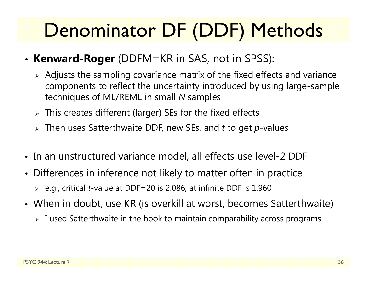# Denominator DF (DDF) Methods

- **Kenward-Roger** (DDFM=KR in SAS, not in SPSS):
	- $\triangleright$  Adjusts the sampling covariance matrix of the fixed effects and variance components to reflect the uncertainty introduced by using large-sample techniques of ML/REML in small *N* samples
	- $\triangleright$  This creates different (larger) SEs for the fixed effects
	- Then uses Satterthwaite DDF, new SEs, and *t* to get *p*-values
- In an unstructured variance model, all effects use level-2 DDF
- Differences in inference not likely to matter often in practice
	- e.g., critical *t*-value at DDF=20 is 2.086, at infinite DDF is 1.960
- When in doubt, use KR (is overkill at worst, becomes Satterthwaite)
	- $\triangleright$  I used Satterthwaite in the book to maintain comparability across programs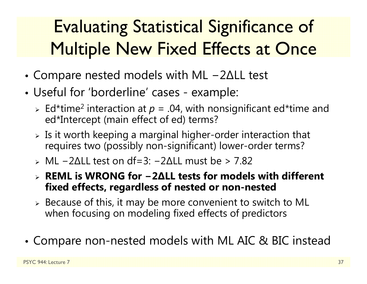## Evaluating Statistical Significance of Multiple New Fixed Effects at Once

- • Compare nested models with ML 2 ∆LL test
- • Useful for 'borderline' cases - example:
	- $\triangleright$  Ed\*time<sup>2</sup> interaction at  $p = .04$ , with nonsignificant ed\*time and ed\*Intercept (main effect of ed) terms?
	- $\triangleright$  Is it worth keeping a marginal higher-order interaction that requires two (possibly non-significant) lower-order terms?
	- ML −2∆LL test on df=3: −2∆LL must be > 7.82
	- **REML is WRONG for −2∆LL tests for models with different fixed effects, regardless of nested or non-nested**
	- $\triangleright$  Because of this, it may be more convenient to switch to ML when focusing on modeling fixed effects of predictors
- •Compare non-nested models with ML AIC & BIC instead